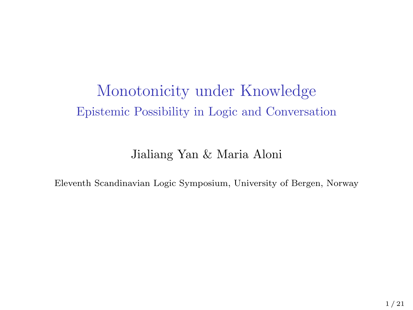## Monotonicity under Knowledge Epistemic Possibility in Logic and Conversation

#### Jialiang Yan & Maria Aloni

Eleventh Scandinavian Logic Symposium, University of Bergen, Norway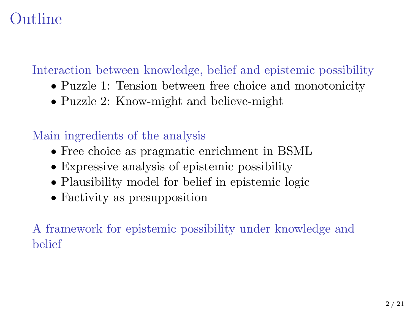# Outline

### [Interaction between knowledge, belief and epistemic possibility](#page-2-0)

- [Puzzle 1: Tension between free choice and monotonicity](#page-5-0)
- [Puzzle 2: Know-might and believe-might](#page-7-0)

### [Main ingredients of the analysis](#page-8-0)

- [Free choice as pragmatic enrichment in BSML](#page-8-0)
- [Expressive analysis of epistemic possibility](#page-9-0)
- [Plausibility model for belief in epistemic logic](#page-9-0)
- [Factivity as presupposition](#page-10-0)

[A framework for epistemic possibility under knowledge and](#page-11-0) [belief](#page-11-0)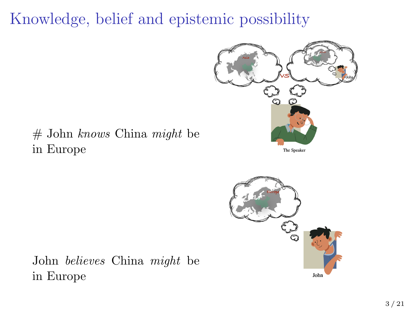# <span id="page-2-0"></span>Knowledge, belief and epistemic possibility



### # John knows China might be in Europe

The Speaker



John believes China might be in Europe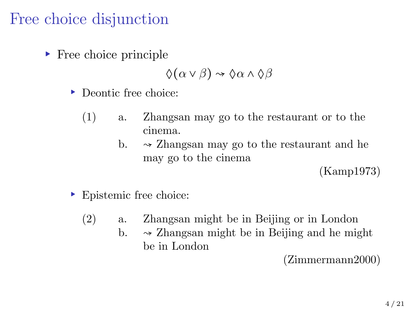## Free choice disjunction

▸ Free choice principle

$$
\Diamond(\alpha \vee \beta) \rightsquigarrow \Diamond \alpha \wedge \Diamond \beta
$$

- ▸ Deontic free choice:
	- (1) a. Zhangsan may go to the restaurant or to the cinema.
		- b.  $\rightarrow$  Zhangsan may go to the restaurant and he may go to the cinema

(Kamp1973)

- ▸ Epistemic free choice:
	- (2) a. Zhangsan might be in Beijing or in London
		- b.  $\sim$  Zhangsan might be in Beijing and he might be in London

(Zimmermann2000)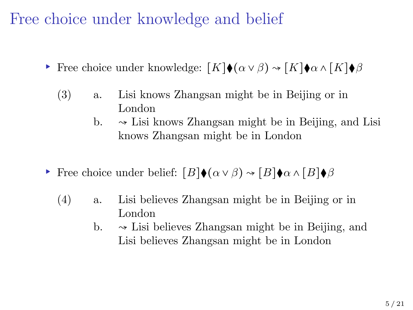Free choice under knowledge and belief

- $\triangleright$  Free choice under knowledge:  $[K]$  (α ν β)  $\rightsquigarrow$   $[K]$  (α λ  $[K]$ ) β
	- (3) a. Lisi knows Zhangsan might be in Beijing or in London
		- b.  $\rightarrow$  Lisi knows Zhangsan might be in Beijing, and Lisi knows Zhangsan might be in London
- $\triangleright$  Free choice under belief:  $[B]$  (α ν β)  $\rightsquigarrow$   $[B]$   $\phi$  α  $\shorttriangle$   $\triangleright$   $B$ )
	- (4) a. Lisi believes Zhangsan might be in Beijing or in London
		- b.  $\rightarrow$  Lisi believes Zhangsan might be in Beijing, and Lisi believes Zhangsan might be in London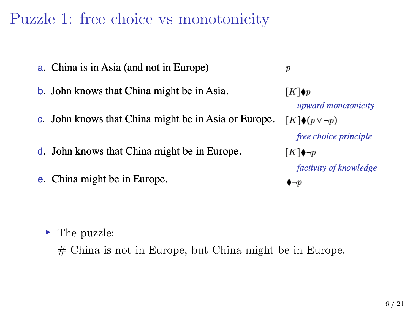## <span id="page-5-0"></span>Puzzle 1: free choice vs monotonicity

- a. China is in Asia (and not in Europe)
- **b.** John knows that China might be in Asia.
- c. John knows that China might be in Asia or Europe.
- d. John knows that China might be in Europe.
- e. China might be in Europe.

 $[K]\blacklozenge p$ upward monotonicity  $[K]\blacklozenge(p\vee\neg p)$ free choice principle  $[K]\blacklozenge \neg p$ factivity of knowledge  $\bullet \neg p$ 

 $\boldsymbol{p}$ 

- ▸ The puzzle:
	- # China is not in Europe, but China might be in Europe.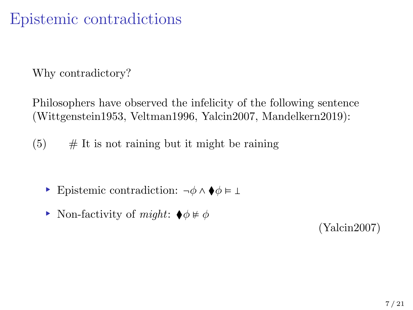## Epistemic contradictions

Why contradictory?

Philosophers have observed the infelicity of the following sentence (Wittgenstein1953, Veltman1996, Yalcin2007, Mandelkern2019):

 $(5)$  # It is not raining but it might be raining

- $\triangleright$  Epistemic contradiction:  $\neg \phi \land \blacklozenge \phi \models \bot$
- ► Non-factivity of *might*:  $\blacklozenge \phi \neq \phi$

(Yalcin2007)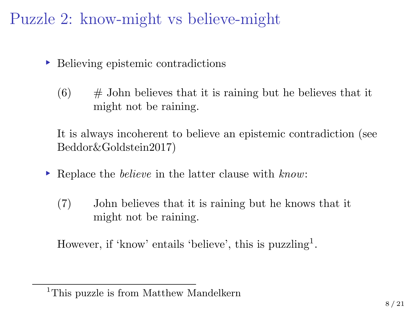<span id="page-7-0"></span>Puzzle 2: know-might vs believe-might

- ▸ Believing epistemic contradictions
	- $(6)$  # John believes that it is raining but he believes that it might not be raining.

It is always incoherent to believe an epistemic contradiction (see Beddor&Goldstein2017)

- ▸ Replace the believe in the latter clause with know:
	- (7) John believes that it is raining but he knows that it might not be raining.

However, if 'know' entails 'believe', this is puzzling<sup>1</sup>.

<sup>&</sup>lt;sup>1</sup>This puzzle is from Matthew Mandelkern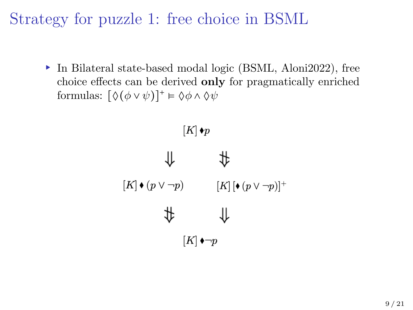<span id="page-8-0"></span>Strategy for puzzle 1: free choice in BSML

▸ In Bilateral state-based modal logic (BSML, Aloni2022), free choice effects can be derived only for pragmatically enriched formulas:  $[\Diamond(\phi \vee \psi)]^+ \models \Diamond \phi \wedge \Diamond \psi$ 

> $[K] \bullet p$  $\uparrow$  #  $[K] \bullet (p \vee \neg p) \qquad \qquad [K] \left[ \bullet (p \vee \neg p) \right]^{+}$  $\uparrow$   $\uparrow$  $[K] \rightarrow \neg p$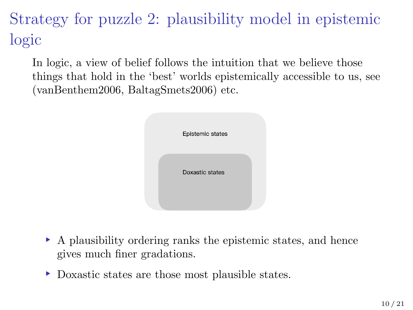<span id="page-9-0"></span>Strategy for puzzle 2: plausibility model in epistemic logic

In logic, a view of belief follows the intuition that we believe those things that hold in the 'best' worlds epistemically accessible to us, see (vanBenthem2006, BaltagSmets2006) etc.

| Epistemic states |  |
|------------------|--|
| Doxastic states  |  |
|                  |  |

- ▸ A plausibility ordering ranks the epistemic states, and hence gives much finer gradations.
- ▸ Doxastic states are those most plausible states.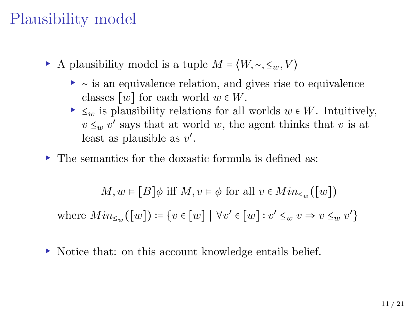# <span id="page-10-0"></span>Plausibility model

- A plausibility model is a tuple  $M = \langle W, \sim, \leq_w, V \rangle$ 
	- ▸ <sup>∼</sup> is an equivalence relation, and gives rise to equivalence classes  $[w]$  for each world  $w \in W$ .
	- $\blacktriangleright \leq_w$  is plausibility relations for all worlds  $w \in W$ . Intuitively,  $v \leq_w v'$  says that at world w, the agent thinks that v is at least as plausible as  $v'$ .
- ▸ The semantics for the doxastic formula is defined as:

$$
M,w \vDash \lbrack B \rbrack \phi \text{ iff } M, v \vDash \phi \text{ for all } v \in Min_{\leq w}(\lbrack w \rbrack)
$$

where  $Min_{\leq w}([w]) \coloneqq \{v \in [w] \mid \forall v' \in [w] : v' \leq_w v \Rightarrow v \leq_w v'\}$ 

▸ Notice that: on this account knowledge entails belief.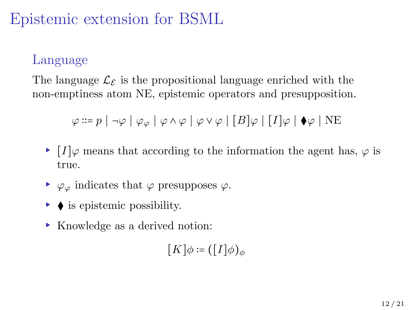# <span id="page-11-0"></span>Epistemic extension for BSML

### Language

The language  $\mathcal{L}_{\mathcal{E}}$  is the propositional language enriched with the non-emptiness atom NE, epistemic operators and presupposition.

$$
\varphi ::= p \mid \neg \varphi \mid \varphi_{\varphi} \mid \varphi \wedge \varphi \mid \varphi \vee \varphi \mid [B] \varphi \mid [I] \varphi \mid \blacklozenge \varphi \mid \text{NE}
$$

- $\blacktriangleright$  [I] $\varphi$  means that according to the information the agent has,  $\varphi$  is true.
- $\blacktriangleright \varphi_{\varphi}$  indicates that  $\varphi$  presupposes  $\varphi$ .
- ▸ ⧫ is epistemic possibility.
- ▸ Knowledge as a derived notion:

 $[K]\phi \coloneqq ([I]\phi)_{\phi}$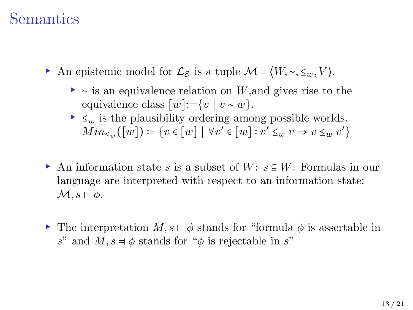### Semantics

- An epistemic model for  $\mathcal{L}_{\mathcal{E}}$  is a tuple  $\mathcal{M} = \langle W, \sim, \leq_w, V \rangle$ .
	- ▸ <sup>∼</sup> is an equivalence relation on <sup>W</sup>,and gives rise to the equivalence class  $[w]:=\{v \mid v \sim w\}.$
	- $\blacktriangleright \langle \cdot \rangle$  is the plausibility ordering among possible worlds.  $Min_{\leq w}([w]) \coloneqq \{v \in [w] \mid \forall v' \in [w] : v' \leq_w v \Rightarrow v \leq_w v'\}$
- ▶ An information state s is a subset of W:  $s \subseteq W$ . Formulas in our language are interpreted with respect to an information state:  $\mathcal{M}, s \models \phi$ .
- ▸ The interpretation M, s <sup>⊧</sup> <sup>ϕ</sup> stands for "formula <sup>ϕ</sup> is assertable in s" and  $M, s \neq \phi$  stands for " $\phi$  is rejectable in s"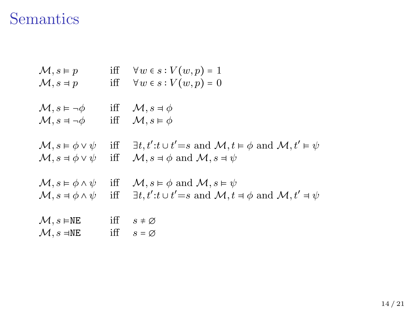# Semantics

| $\mathcal{M}, s \models p$               | iff | $\forall w \in s : V(w, p) = 1$                                                                                    |
|------------------------------------------|-----|--------------------------------------------------------------------------------------------------------------------|
| $\mathcal{M}, s \neq p$                  | iff | $\forall w \in s : V(w, p) = 0$                                                                                    |
| $\mathcal{M}, s \vDash \neg \phi$        | iff | $\mathcal{M}, s \neq \phi$                                                                                         |
| $\mathcal{M}, s = \neg \phi$             | iff | $\mathcal{M}, s \models \phi$                                                                                      |
| $\mathcal{M}, s \models \phi \lor \psi$  | iff | $\exists t, t' : t \cup t' = s \text{ and } \mathcal{M}, t \models \phi \text{ and } \mathcal{M}, t' \models \psi$ |
| $\mathcal{M}, s \neq \phi \vee \psi$     | iff | $\mathcal{M}, s \neq \phi$ and $\mathcal{M}, s = \psi$                                                             |
| $\mathcal{M}, s \models \phi \land \psi$ | iff | $\mathcal{M}, s \models \phi$ and $\mathcal{M}, s \models \psi$                                                    |
| $\mathcal{M}, s \models \phi \land \psi$ | iff | $\exists t, t' : t \cup t' = s \text{ and } \mathcal{M}, t \neq \phi \text{ and } \mathcal{M}, t' \neq \psi$       |
| $\mathcal{M}, s \in \mathbb{NE}$         | iff | $s \neq \emptyset$                                                                                                 |
| $\mathcal{M}, s = \mathbb{NE}$           | iff | $s = \varnothing$                                                                                                  |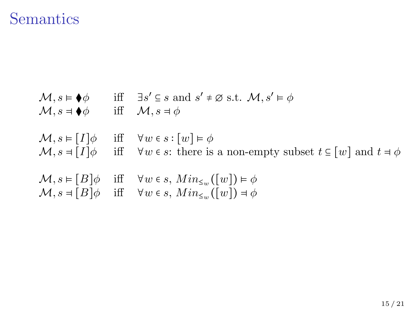### Semantics

 $M, s \models \blacklozenge \phi$  iff  $\exists s' \subseteq s \text{ and } s' \neq \emptyset \text{ s.t. } M, s' \models \phi$  $\mathcal{M}, s = \bigcirc \phi$  iff  $\mathcal{M}, s = \phi$  $\mathcal{M}, s \models [I] \phi$  iff  $\forall w \in s : [w] \models \phi$  $\mathcal{M}, s = [I] \phi$  iff  $\forall w \in s$ : there is a non-empty subset  $t \in [w]$  and  $t \neq \phi$  $\mathcal{M}, s \models [B] \phi$  iff  $\forall w \in s, Min_{\leq w}([w]) \models \phi$  $\mathcal{M}, s = [B]\phi$  iff  $\forall w \in s, Min_{\leq w}([w]) = \phi$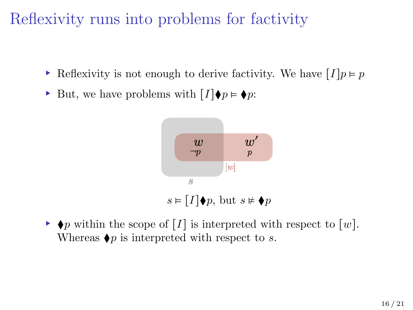# Reflexivity runs into problems for factivity

- ► Reflexivity is not enough to derive factivity. We have  $[I]p \models p$
- $\triangleright$  But, we have problems with  $[I]$   $\blacklozenge p$ :



 $\rightarrow \bullet p$  within the scope of [I] is interpreted with respect to [w]. Whereas  $\blacklozenge p$  is interpreted with respect to s.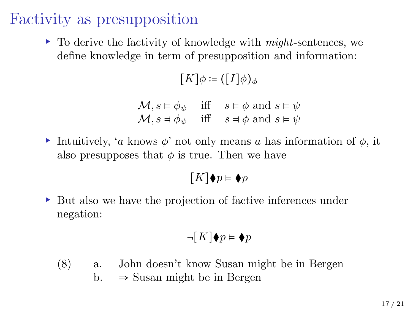## Factivity as presupposition

 $\triangleright$  To derive the factivity of knowledge with *might*-sentences, we define knowledge in term of presupposition and information:

 $[K]\phi \coloneqq ([I]\phi)_{\phi}$ 

|  | $\mathcal{M}, s \models \phi_{\psi}$ iff $s \models \phi$ and $s \models \psi$ |
|--|--------------------------------------------------------------------------------|
|  | $\mathcal{M}, s = \phi_{\psi}$ iff $s = \phi$ and $s = \psi$                   |

▸ Intuitively, 'a knows ϕ' not only means a has information of ϕ, it also presupposes that  $\phi$  is true. Then we have

$$
[K]\blacklozenge p \vDash \blacklozenge p
$$

▸ But also we have the projection of factive inferences under negation:

$$
\neg[K]\blacklozenge p \vDash \blacklozenge p
$$

(8) a. John doesn't know Susan might be in Bergen b.  $\Rightarrow$  Susan might be in Bergen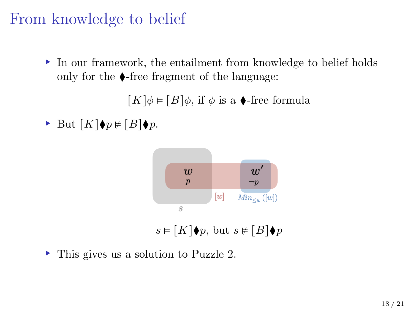## From knowledge to belief

▸ In our framework, the entailment from knowledge to belief holds only for the  $\triangle$ -free fragment of the language:

 $[K]\phi \models [B]\phi$ , if  $\phi$  is a  $\blacklozenge$ -free formula

► But  $[K]$  $\blacklozenge p \neq [B] \blacklozenge p$ .



 $s \in [K] \blacklozenge p$ , but  $s \not\in [B] \blacklozenge p$ 

▸ This gives us a solution to Puzzle 2.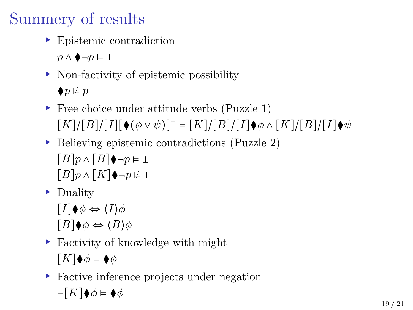# Summery of results

▸ Epistemic contradiction

 $p \wedge \blacklozenge \neg p \vDash \bot$ 

- ▸ Non-factivity of epistemic possibility  $\blacklozenge p \not\vDash p$
- ▸ Free choice under attitude verbs (Puzzle 1)  $[K]/[B]/[I][\bullet(\phi\vee\psi)]^+ \models [K]/[B]/[I]\bullet\phi \wedge [K]/[B]/[I]\bullet\psi$
- ▸ Believing epistemic contradictions (Puzzle 2)  $[B]p \wedge [B] \rightarrow \neg p \vDash \bot$

 $[B]p \wedge [K] \bigoplus \neg p \neq \bot$ 

▸ Duality

 $[I] \blacklozenge \phi \Leftrightarrow \langle I \rangle \phi$  $[B] \blacklozenge \phi \Leftrightarrow \langle B \rangle \phi$ 

▸ Factivity of knowledge with might

 $[K]\blacklozenge \phi \models \blacklozenge \phi$ 

▸ Factive inference projects under negation  $\neg[K]\blacklozenge\phi \vDash \blacklozenge\phi$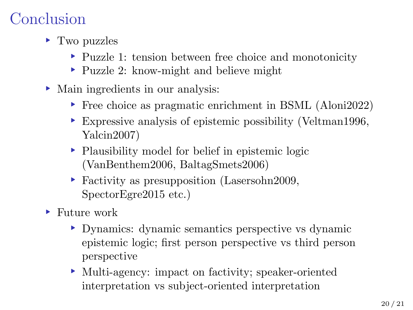# Conclusion

- ▸ Two puzzles
	- ▸ Puzzle 1: tension between free choice and monotonicity
	- ▸ Puzzle 2: know-might and believe might
- ▸ Main ingredients in our analysis:
	- ▸ Free choice as pragmatic enrichment in BSML (Aloni2022)
	- ▸ Expressive analysis of epistemic possibility (Veltman1996, Yalcin2007)
	- ▸ Plausibility model for belief in epistemic logic (VanBenthem2006, BaltagSmets2006)
	- ▸ Factivity as presupposition (Lasersohn2009, SpectorEgre2015 etc.)
- ▸ Future work
	- ▸ Dynamics: dynamic semantics perspective vs dynamic epistemic logic; first person perspective vs third person perspective
	- ▸ Multi-agency: impact on factivity; speaker-oriented interpretation vs subject-oriented interpretation